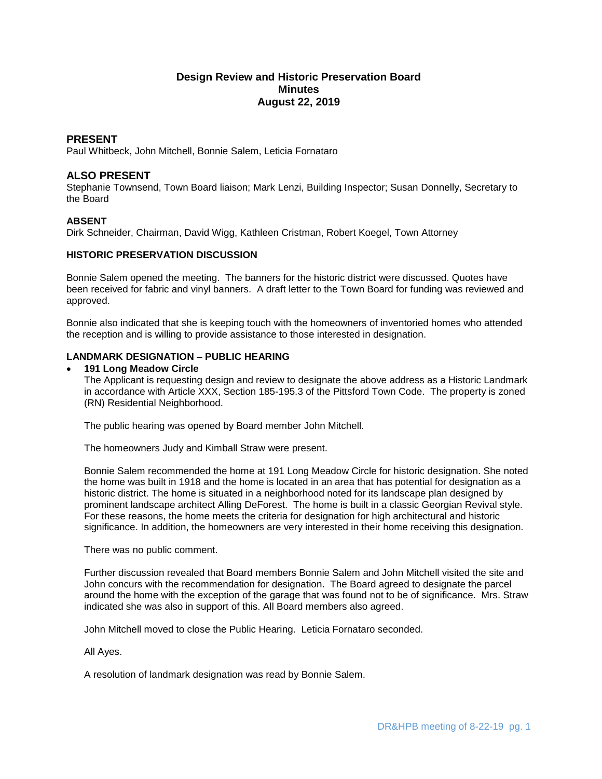# **Design Review and Historic Preservation Board Minutes August 22, 2019**

## **PRESENT**

Paul Whitbeck, John Mitchell, Bonnie Salem, Leticia Fornataro

## **ALSO PRESENT**

Stephanie Townsend, Town Board liaison; Mark Lenzi, Building Inspector; Susan Donnelly, Secretary to the Board

## **ABSENT**

Dirk Schneider, Chairman, David Wigg, Kathleen Cristman, Robert Koegel, Town Attorney

### **HISTORIC PRESERVATION DISCUSSION**

Bonnie Salem opened the meeting. The banners for the historic district were discussed. Quotes have been received for fabric and vinyl banners. A draft letter to the Town Board for funding was reviewed and approved.

Bonnie also indicated that she is keeping touch with the homeowners of inventoried homes who attended the reception and is willing to provide assistance to those interested in designation.

# **LANDMARK DESIGNATION – PUBLIC HEARING**

#### **191 Long Meadow Circle**

The Applicant is requesting design and review to designate the above address as a Historic Landmark in accordance with Article XXX, Section 185-195.3 of the Pittsford Town Code. The property is zoned (RN) Residential Neighborhood.

The public hearing was opened by Board member John Mitchell.

The homeowners Judy and Kimball Straw were present.

Bonnie Salem recommended the home at 191 Long Meadow Circle for historic designation. She noted the home was built in 1918 and the home is located in an area that has potential for designation as a historic district. The home is situated in a neighborhood noted for its landscape plan designed by prominent landscape architect Alling DeForest. The home is built in a classic Georgian Revival style. For these reasons, the home meets the criteria for designation for high architectural and historic significance. In addition, the homeowners are very interested in their home receiving this designation.

There was no public comment.

Further discussion revealed that Board members Bonnie Salem and John Mitchell visited the site and John concurs with the recommendation for designation. The Board agreed to designate the parcel around the home with the exception of the garage that was found not to be of significance. Mrs. Straw indicated she was also in support of this. All Board members also agreed.

John Mitchell moved to close the Public Hearing. Leticia Fornataro seconded.

All Ayes.

A resolution of landmark designation was read by Bonnie Salem.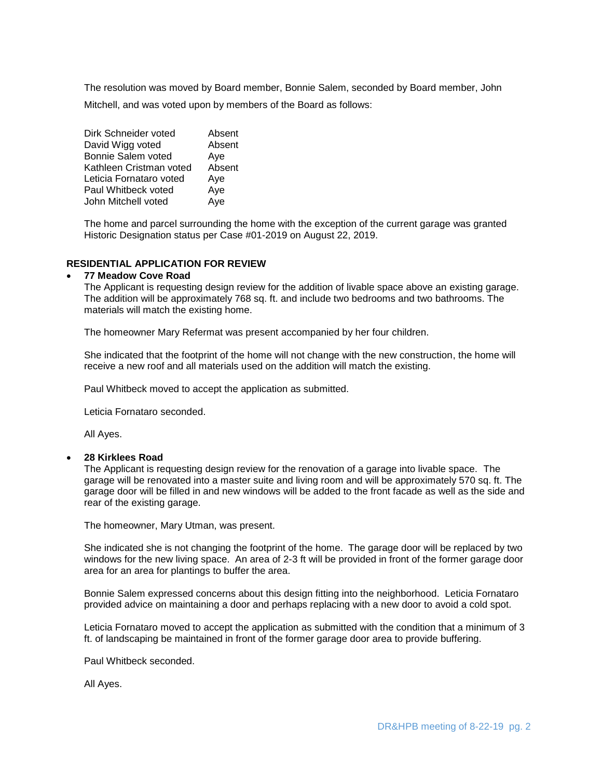The resolution was moved by Board member, Bonnie Salem, seconded by Board member, John Mitchell, and was voted upon by members of the Board as follows:

Dirk Schneider voted Absent David Wigg voted Absent Bonnie Salem voted Ave Kathleen Cristman voted Absent Leticia Fornataro voted Aye Paul Whitbeck voted Aye John Mitchell voted Aye

The home and parcel surrounding the home with the exception of the current garage was granted Historic Designation status per Case #01-2019 on August 22, 2019.

## **RESIDENTIAL APPLICATION FOR REVIEW**

### **77 Meadow Cove Road**

The Applicant is requesting design review for the addition of livable space above an existing garage. The addition will be approximately 768 sq. ft. and include two bedrooms and two bathrooms. The materials will match the existing home.

The homeowner Mary Refermat was present accompanied by her four children.

She indicated that the footprint of the home will not change with the new construction, the home will receive a new roof and all materials used on the addition will match the existing.

Paul Whitbeck moved to accept the application as submitted.

Leticia Fornataro seconded.

All Ayes.

#### **28 Kirklees Road**

The Applicant is requesting design review for the renovation of a garage into livable space. The garage will be renovated into a master suite and living room and will be approximately 570 sq. ft. The garage door will be filled in and new windows will be added to the front facade as well as the side and rear of the existing garage.

The homeowner, Mary Utman, was present.

She indicated she is not changing the footprint of the home. The garage door will be replaced by two windows for the new living space. An area of 2-3 ft will be provided in front of the former garage door area for an area for plantings to buffer the area.

Bonnie Salem expressed concerns about this design fitting into the neighborhood. Leticia Fornataro provided advice on maintaining a door and perhaps replacing with a new door to avoid a cold spot.

Leticia Fornataro moved to accept the application as submitted with the condition that a minimum of 3 ft. of landscaping be maintained in front of the former garage door area to provide buffering.

Paul Whitbeck seconded.

All Ayes.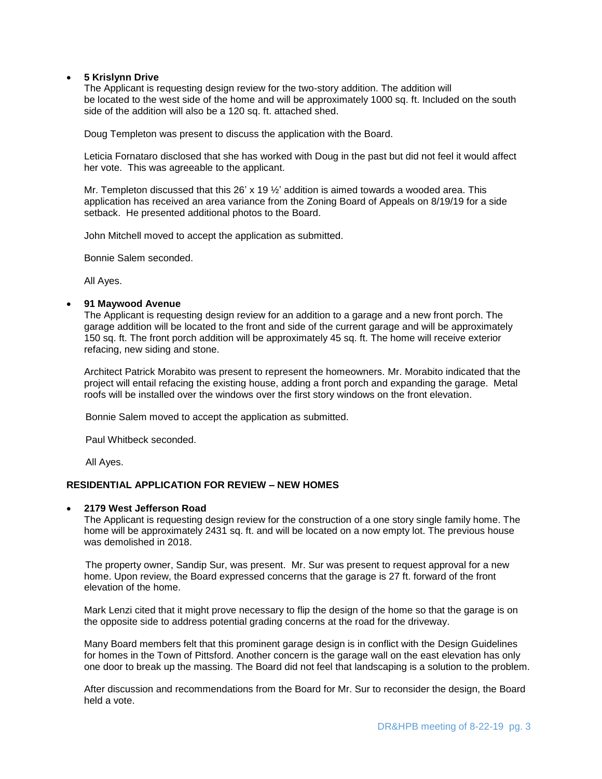### **5 Krislynn Drive**

The Applicant is requesting design review for the two-story addition. The addition will be located to the west side of the home and will be approximately 1000 sq. ft. Included on the south side of the addition will also be a 120 sq. ft. attached shed.

Doug Templeton was present to discuss the application with the Board.

Leticia Fornataro disclosed that she has worked with Doug in the past but did not feel it would affect her vote. This was agreeable to the applicant.

Mr. Templeton discussed that this 26' x 19  $\frac{1}{2}$ ' addition is aimed towards a wooded area. This application has received an area variance from the Zoning Board of Appeals on 8/19/19 for a side setback. He presented additional photos to the Board.

John Mitchell moved to accept the application as submitted.

Bonnie Salem seconded.

All Ayes.

#### **91 Maywood Avenue**

The Applicant is requesting design review for an addition to a garage and a new front porch. The garage addition will be located to the front and side of the current garage and will be approximately 150 sq. ft. The front porch addition will be approximately 45 sq. ft. The home will receive exterior refacing, new siding and stone.

Architect Patrick Morabito was present to represent the homeowners. Mr. Morabito indicated that the project will entail refacing the existing house, adding a front porch and expanding the garage. Metal roofs will be installed over the windows over the first story windows on the front elevation.

Bonnie Salem moved to accept the application as submitted.

Paul Whitbeck seconded.

All Ayes.

### **RESIDENTIAL APPLICATION FOR REVIEW – NEW HOMES**

#### **2179 West Jefferson Road**

The Applicant is requesting design review for the construction of a one story single family home. The home will be approximately 2431 sq. ft. and will be located on a now empty lot. The previous house was demolished in 2018.

The property owner, Sandip Sur, was present. Mr. Sur was present to request approval for a new home. Upon review, the Board expressed concerns that the garage is 27 ft. forward of the front elevation of the home.

Mark Lenzi cited that it might prove necessary to flip the design of the home so that the garage is on the opposite side to address potential grading concerns at the road for the driveway.

Many Board members felt that this prominent garage design is in conflict with the Design Guidelines for homes in the Town of Pittsford. Another concern is the garage wall on the east elevation has only one door to break up the massing. The Board did not feel that landscaping is a solution to the problem.

After discussion and recommendations from the Board for Mr. Sur to reconsider the design, the Board held a vote.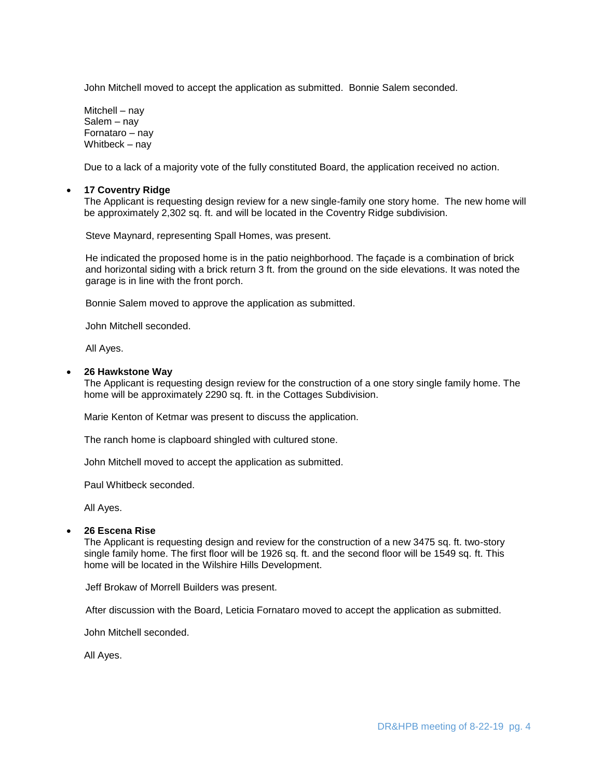John Mitchell moved to accept the application as submitted. Bonnie Salem seconded.

Mitchell – nay Salem – nay Fornataro – nay Whitbeck – nay

Due to a lack of a majority vote of the fully constituted Board, the application received no action.

#### **17 Coventry Ridge**

The Applicant is requesting design review for a new single-family one story home. The new home will be approximately 2,302 sq. ft. and will be located in the Coventry Ridge subdivision.

Steve Maynard, representing Spall Homes, was present.

 He indicated the proposed home is in the patio neighborhood. The façade is a combination of brick and horizontal siding with a brick return 3 ft. from the ground on the side elevations. It was noted the garage is in line with the front porch.

Bonnie Salem moved to approve the application as submitted.

John Mitchell seconded.

All Ayes.

#### **26 Hawkstone Way**

The Applicant is requesting design review for the construction of a one story single family home. The home will be approximately 2290 sq. ft. in the Cottages Subdivision.

Marie Kenton of Ketmar was present to discuss the application.

The ranch home is clapboard shingled with cultured stone.

John Mitchell moved to accept the application as submitted.

Paul Whitbeck seconded.

All Ayes.

### **26 Escena Rise**

The Applicant is requesting design and review for the construction of a new 3475 sq. ft. two-story single family home. The first floor will be 1926 sq. ft. and the second floor will be 1549 sq. ft. This home will be located in the Wilshire Hills Development.

Jeff Brokaw of Morrell Builders was present.

After discussion with the Board, Leticia Fornataro moved to accept the application as submitted.

John Mitchell seconded.

All Ayes.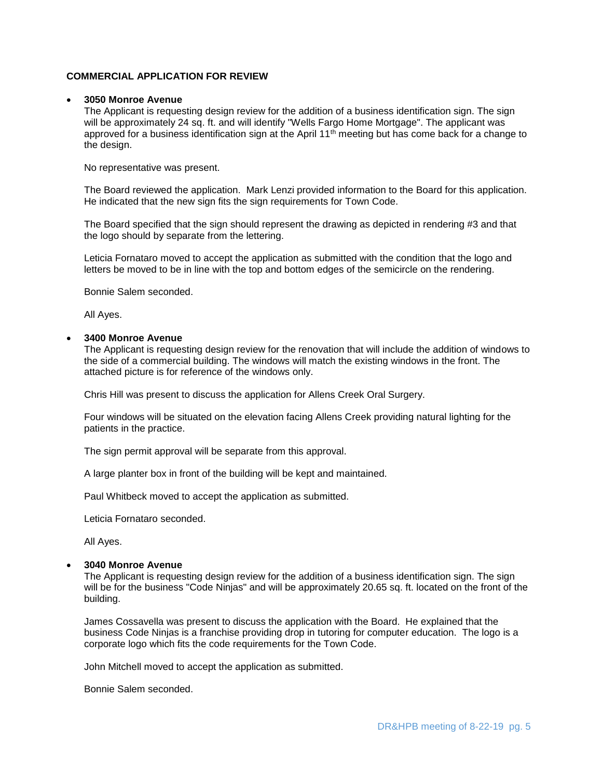## **COMMERCIAL APPLICATION FOR REVIEW**

#### **3050 Monroe Avenue**

The Applicant is requesting design review for the addition of a business identification sign. The sign will be approximately 24 sq. ft. and will identify "Wells Fargo Home Mortgage". The applicant was approved for a business identification sign at the April  $11<sup>th</sup>$  meeting but has come back for a change to the design.

No representative was present.

The Board reviewed the application. Mark Lenzi provided information to the Board for this application. He indicated that the new sign fits the sign requirements for Town Code.

The Board specified that the sign should represent the drawing as depicted in rendering #3 and that the logo should by separate from the lettering.

Leticia Fornataro moved to accept the application as submitted with the condition that the logo and letters be moved to be in line with the top and bottom edges of the semicircle on the rendering.

Bonnie Salem seconded.

All Ayes.

#### **3400 Monroe Avenue**

The Applicant is requesting design review for the renovation that will include the addition of windows to the side of a commercial building. The windows will match the existing windows in the front. The attached picture is for reference of the windows only.

Chris Hill was present to discuss the application for Allens Creek Oral Surgery.

Four windows will be situated on the elevation facing Allens Creek providing natural lighting for the patients in the practice.

The sign permit approval will be separate from this approval.

A large planter box in front of the building will be kept and maintained.

Paul Whitbeck moved to accept the application as submitted.

Leticia Fornataro seconded.

All Ayes.

#### **3040 Monroe Avenue**

The Applicant is requesting design review for the addition of a business identification sign. The sign will be for the business "Code Ninjas" and will be approximately 20.65 sq. ft. located on the front of the building.

James Cossavella was present to discuss the application with the Board. He explained that the business Code Ninjas is a franchise providing drop in tutoring for computer education. The logo is a corporate logo which fits the code requirements for the Town Code.

John Mitchell moved to accept the application as submitted.

Bonnie Salem seconded.